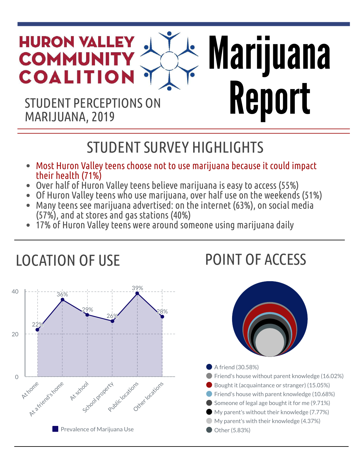# Marijuana REPORT PERCEPTIONS ON **Report** MARIJUANA, 2019

## LOCATION OF USE

#### STUDENT SURVEY HIGHLIGHTS

• Most Huron Valley teens choose not to use marijuana because it could impact their health (71%) • Over half of Huron Valley teens believe marijuana is easy to access (55%) • Of Huron Valley teens who use marijuana, over half use on the weekends (51%) • Many teens see marijuana advertised: on the internet (63%), on social media (57%), and at stores and gas stations (40%) • 17% of Huron Valley teens were around someone using marijuana daily









#### A friend (30.58%)

**• Friend's house without parent knowledge (16.02%)** Bought it (acquaintance or stranger) (15.05%) **• Friend's house with parent knowledge (10.68%)** Someone of legal age bought it for me (9.71%) My parent's without their knowledge (7.77%) My parent's with their knowledge (4.37%) **Other (5.83%)** 

#### POINT OF ACCESS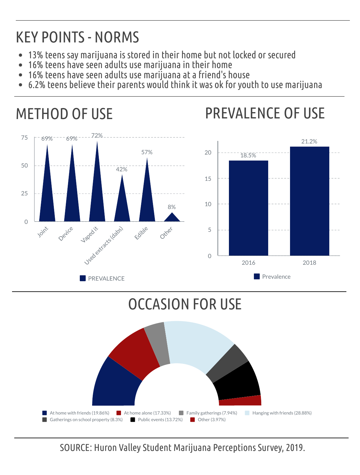- 13% teens say marijuana is stored in their home but not locked or secured
- 16% teens have seen adults use marijuana in their home
- 16% teens have seen adults use marijuana at a friend's house
- 6.2% teens believe their parents would think it was ok for youth to use marijuana

### KEY POINTS - NORMS

#### METHOD OF USE



#### OCCASION FOR USE



At home with friends (19.86%) **At home alone (17.33%)** Family gatherings (7.94%) Hanging with friends (28.88%) Gatherings on school property (8.3%) Public events (13.72%) Cther (3.97%)

#### PREVALENCE OF USE

#### SOURCE: Huron Valley Student Marijuana Perceptions Survey, 2019.